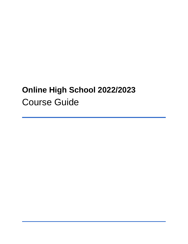# **Online High School 2022/2023** Course Guide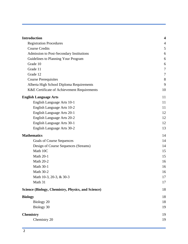| <b>Introduction</b>                                       | $\overline{\mathbf{4}}$ |
|-----------------------------------------------------------|-------------------------|
| <b>Registration Procedures</b>                            | $\overline{4}$          |
| <b>Course Credits</b>                                     | 5                       |
| Admission to Post-Secondary Institutions                  | 6                       |
| Guidelines to Planning Your Program                       | 6                       |
| Grade 10                                                  | 6                       |
| Grade 11                                                  | $\overline{7}$          |
| Grade 12                                                  | $\overline{7}$          |
| <b>Course Prerequisites</b>                               | 8                       |
| Alberta High School Diploma Requirements                  | 9                       |
| K&E Certificate of Achievement Requirements               | 10                      |
| <b>English Language Arts</b>                              | 11                      |
| English Language Arts 10-1                                | 11                      |
| English Language Arts 10-2                                | 11                      |
| English Language Arts 20-1                                | 12                      |
| English Language Arts 20-2                                | 12                      |
| English Language Arts 30-1                                | 12                      |
| English Language Arts 30-2                                | 13                      |
| <b>Mathematics</b>                                        | 14                      |
| <b>Goals of Course Sequences</b>                          | 14                      |
| Design of Course Sequences (Streams)                      | 14                      |
| Math 10C                                                  | 15                      |
| <b>Math 20-1</b>                                          | 15                      |
| <b>Math 20-2</b>                                          | 16                      |
| <b>Math 30-1</b>                                          | 16                      |
| <b>Math 30-2</b>                                          | 16                      |
| Math 10-3, 20-3, & 30-3                                   | 17                      |
| Math 31                                                   | 17                      |
| <b>Science (Biology, Chemistry, Physics, and Science)</b> | 18                      |
| <b>Biology</b>                                            | 18                      |
| Biology 20                                                | 18                      |
| Biology 30                                                | 19                      |
| <b>Chemistry</b>                                          | 19                      |
| Chemistry 20                                              | 19                      |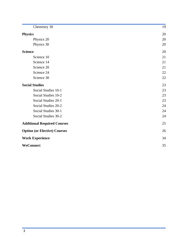| Chemistry 30                        | 19 |
|-------------------------------------|----|
| <b>Physics</b>                      | 20 |
| Physics 20                          | 20 |
| Physics 30                          | 20 |
| <b>Science</b>                      | 20 |
| Science 10                          | 21 |
| Science 14                          | 21 |
| Science 20                          | 21 |
| Science 24                          | 22 |
| Science 30                          | 22 |
| <b>Social Studies</b>               | 23 |
| Social Studies 10-1                 | 23 |
| Social Studies 10-2                 | 23 |
| Social Studies 20-1                 | 23 |
| Social Studies 20-2                 | 24 |
| Social Studies 30-1                 | 24 |
| Social Studies 30-2                 | 24 |
| <b>Additional Required Courses</b>  | 25 |
| <b>Option (or Elective) Courses</b> | 26 |
| <b>Work Experience</b>              | 34 |
| WeConnect                           | 35 |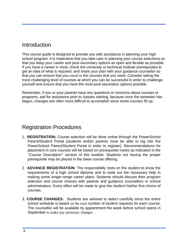### Introduction

This course guide is designed to provide you with assistance in planning your high school program. It is imperative that you take care in planning your course selections so that you keep your career and post-secondary options as open and flexible as possible. If you have a career in mind, check the university or technical institute prerequisites to get an idea of what is required, and share your plan with your guidance counsellor so that you can ensure that you enroll in the courses that you need. Consider taking the most challenging level of courses at which you can be successful in order to challenge yourself and ensure that you have the most post-secondary options possible.

<span id="page-3-0"></span>Remember, if you or your parents have any questions or concerns about courses or programs, ask for assistance prior to classes starting, because once the semester has begun, changes are often more difficult to accomplish since some courses fill up.

### Registration Procedures

- 1. **REGISTRATION:** Course selection will be done online through the PowerSchool Parent/Student Portal (students and/or parents must be able to log into the PowerSchool Parent/Student Portal in order to register). Recommendations for placement in core courses will be based on prerequisite marks as indicated in the "Course Description" section of this booklet. Students not having the proper prerequisite may be placed in the lower course offering.
- 2. **ADVANCE REGISTRATION:** The responsibility rests on the student to know the requirements of a high school diploma and to seek out the necessary help in making some longer-range career plans. Students should discuss their program selection and course choices with parents and guidance counsellors or school administrators. Every effort will be made to give the student his/her first choice of courses.
- 3. **COURSE CHANGES:** Students are advised to select carefully since the entire school schedule is based on the total number of student requests for each course. The counsellor will be available by appointment the week before school opens in September to make any necessary changes.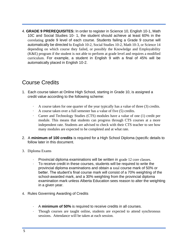4. **GRADE 9 PREREQUISITES:** In order to register in Science 10, English 10-1, Math 10C and Social Studies 10- 1, the student should achieve at least 60% in the correlating grade 9 level of each course. Students failing a Grade 9 course will automatically be directed to English 10-2, Social Studies 10-2, Math 10-3, or Science 14 depending on which course they failed, or possibly the Knowledge and Employability (K&E) program if the student is not able to perform at grade level and requires a modified curriculum. For example, a student in English 9 with a final of 45% will be automatically placed in English 10-2.

## <span id="page-4-0"></span>Course Credits

- 1. Each course taken at Online High School, starting in Grade 10, is assigned a credit value according to the following scheme:
	- · A course taken for one quarter of the year typically has a value of three (3) credits.
	- · A course taken over a full semester has a value of five (5) credits.
	- Career and Technology Studies (CTS) modules have a value of one (1) credit per module. This means that students can progress through CTS courses at a more independent rate. Students are advised to check with their CTS teacher to see how many modules are expected to be completed and at what rate.
- 2. A **minimum of 100 credits** is required for a High School Diploma (specific details to follow later in this document.
- 3. Diploma Exams
	- Provincial diploma examinations will be written in grade 12 core classes.
	- · To receive credit in these courses, students will be required to write the provincial diploma examinations and obtain a total course mark of 50% or better. The student's final course mark will consist of a 70% weighting of the school-awarded mark, and a 30% weighting from the provincial diploma examination mark unless Alberta Education sees reason to alter the weighting in a given year.
- 4. Rules Governing Awarding of Credits
	- · A **minimum of 50%** is required to receive credits in all courses.
	- · Though courses are taught online, students are expected to attend synchronous sessions. Attendance will be taken at each session.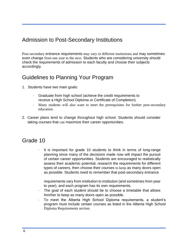### <span id="page-5-0"></span>Admission to Post-Secondary Institutions

Post-secondary entrance requirements may vary in different institutions and may sometimes even change from one year to the next. Students who are considering university should check the requirements of admission to each faculty and choose their subjects accordingly.

### <span id="page-5-1"></span>Guidelines to Planning Your Program

- 1. Students have two main goals:
	- Graduate from high school (achieve the credit requirements to receive a High School Diploma or Certificate of Completion).
	- · Many students will also want to meet the prerequisites for further post-secondary education.
- 2. Career plans tend to change throughout high school. Students should consider taking courses that can maximize their career opportunities.

### Grade 10

· It is important for grade 10 students to think in terms of long-range planning since many of the decisions made now will impact the pursuit of certain career opportunities. Students are encouraged to realistically assess their academic potential, research the requirements for different types of careers, then choose their courses to keep as many doors open as possible. Students need to remember that post-secondary entrance

requirements vary from institution to institution (and sometimes from year to year), and each program has its own requirements.

- · The goal of each student should be to choose a timetable that allows him/her to keep as many doors open as possible.
- · To meet the Alberta High School Diploma requirements, a student's program must include certain courses as listed in the Alberta High School Diploma Requirements section.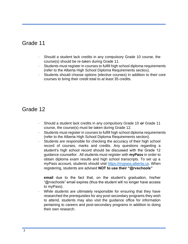### <span id="page-6-0"></span>Grade 11

- · Should a student lack credits in any compulsory Grade 10 course, the course(s) should be re-taken during Grade 11.
- · Students must register in courses to fulfill high school diploma requirements (refer to the Alberta High School Diploma Requirements section).
- <span id="page-6-1"></span>· Students should choose options (elective courses) in addition to their core courses to bring their credit total to *at least* 35 credits.

### Grade 12

- · Should a student lack credits in any compulsory Grade 10 *or* Grade 11 course, the course(s) must be taken during Grade 12.
- · Students must register in courses to fulfill high school diploma requirements (refer to the Alberta High School Diploma Requirements section).
- · Students are responsible for checking the accuracy of their high school record of courses, marks and credits. Any questions regarding a student's high school record should be discussed with the Grade 12 guidance counsellor. All students must register with **myPass** in order to obtain diploma exam results and high school transcripts. To set up a myPass account, students should visi[t](https://mypass.alberta.ca/) [https://mypass.alberta.ca.](https://mypass.alberta.ca/) When registering, students are advised **NOT to use their "@rvschools"**

**email** due to the fact that, on the student's graduation, his/her "@rvschools" email expires (thus the student will no longer have access to myPass).

While students are ultimately responsible for ensuring that they have researched the prerequisites for any post-secondary programs they wish to attend, students may also visit the guidance office for information pertaining to careers and post-secondary programs in addition to doing their own research.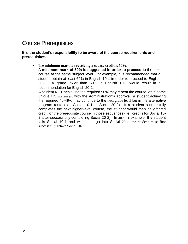### <span id="page-7-0"></span>Course Prerequisites

**It is the student's responsibility to be aware of the course requirements and prerequisites.**

- · The **minimum mark for receiving a course credit is 50%**.
- · A **minimum mark of 60% is suggested in order to proceed** to the next course at the same subject level. For example, it is recommended that a student obtain at least 60% in English 10-1 in order to proceed to English 20-1. A grade lower than 60% in English 10-1 would result in a recommendation for English 20-2.
- <span id="page-7-1"></span>A student NOT achieving the required 50% may repeat the course, or in some unique circumstances, with the Administration's approval, a student achieving the required 40-49% may continue to the next grade level but in the alternative program route (i.e., Social 10-1 to Social 20-2). If a student successfully completes the next higher-level course, the student would then be granted credit for the prerequisite course in those sequences (i.e., credits for Social 10- 2 after successfully completing Social 20-2). In another example, if a student fails Social 10-1 and wishes to go into Social 20-1, the student must first successfully retake Social 10-1.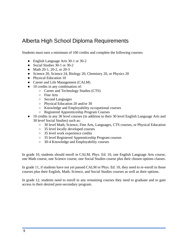### Alberta High School Diploma Requirements

Students must earn a minimum of 100 credits and complete the following courses:

- English Language Arts 30-1 or 30-2
- Social Studies 30-1 or 30-2
- Math 20-1, 20-2, or 20-3
- Science 20, Science 24, Biology 20, Chemistry 20, or Physics 20
- Physical Education 10
- Career and Life Management (CALM)
- 10 credits in any combination of:
	- Career and Technology Studies (CTS)
	- Fine Arts
	- Second Languages
	- Physical Education 20 and/or 30
	- Knowledge and Employability occupational courses
	- Registered Apprenticeship Program Courses
- 10 credits in any 30 level courses (in addition to their 30 level English Language Arts and 30 level Social Studies) such as:
	- 30 level Math, Science, Fine Arts, Languages, CTS courses, or Physical Education
	- 35 level locally developed courses
	- 35 level work experience credits
	- 35 level Registered Apprenticeship Program courses
	- 30-4 Knowledge and Employability courses

In grade 10, students should enroll in CALM, Phys. Ed. 10, one English Language Arts course, one Math course, one Science course, one Social Studies course plus their chosen options classes.

In grade 11, if students have not yet passed CALM or Phys. Ed. 10, they need to re-enroll in those courses plus their English, Math, Science, and Social Studies courses as well as their options.

In grade 12, students need to enroll in any remaining courses they need to graduate and to gain access to their desired post-secondary program.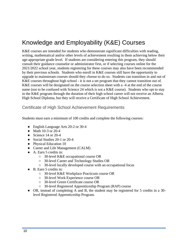# Knowledge and Employability (K&E) Courses

K&E courses are intended for students who demonstrate significant difficulties with reading, writing, mathematical and/or other levels of achievement resulting in them achieving below their age-appropriate grade level. If students are considering entering this program, they should consult their guidance counselor or administrator first, or if selecting courses online for the 2021/2022 school year, students registering for these courses may also have been recommended by their previous schools. Students who enroll in K&E courses still have the opportunity to upgrade to mainstream courses should they choose to do so. Students can transition in and out of K&E courses throughout high school - it is not a set program that they cannot transition out of. K&E courses will be designated on the course selection sheet with a -4 at the end of the course name (not to be confused with Science 24 which is not a K&E course). Students who opt to stay in the K&E program through the duration of their high school career will not receive an Alberta High School Diploma, but they will receive a Certificate of High School Achievement.

#### Certificate of High School Achievement Requirements

Students must earn a minimum of 100 credits and complete the following courses:

- English Language Arts 20-2 or 30-4
- Math 10-3 or 20-4
- Science 14 or 20-4
- Social Studies 20-1 or 20-4
- Physical Education 10
- Career and Life Management (CALM)
- A. Earn 5 credits in:
	- 30-level K&E occupational course OR
	- 30-level Career and Technology Studies OR
	- 30-level locally developed course with an occupational focus
- B. Earn 5 credits in:
	- 30-level K&E Workplace Practicum course OR
	- 30-level Work Experience course OR
	- 30-level Green Certificate course OR
	- 30-level Registered Apprenticeship Program (RAP) course
- OR, instead of completing A and B, the student may be registered for 5 credits in a 30 level Registered Apprenticeship Program.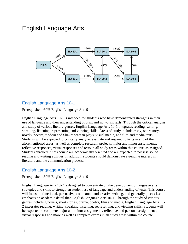# English Language Arts



#### <span id="page-10-0"></span>English Language Arts 10-1

Prerequisite: >60% English Language Arts 9

English Language Arts 10-1 is intended for students who have demonstrated strengths in their use of language and their understanding of print and non-print texts. Through the critical analysis and study of various literary genres, English Language Arts 10-1 integrates reading, writing, speaking, listening, representing and viewing skills. Areas of study include essay, short story, novels, poetry, modern and Shakespearean plays, visual media, and film and media texts. Students will be expected to critically analyze, evaluate and respond to texts in any of the aforementioned areas, as well as complete research, projects, major and minor assignments, reflective responses, visual responses and tests in all study areas within this course, as assigned. Students enrolled in this course are academically oriented and are expected to possess sound reading and writing abilities. In addition, students should demonstrate a genuine interest in literature and the communication process.

#### <span id="page-10-1"></span>English Language Arts 10-2

Prerequisite: <60% English Language Arts 9

English Language Arts 10-2 is designed to concentrate on the development of language arts strategies and skills to strengthen student use of language and understanding of texts. This course will focus on functional, persuasive, contextual, and creative writing, and generally places less emphasis on academic detail than English Language Arts 10-1. Through the study of various genres including novels, short stories, drama, poetry, film and media, English Language Arts 10- 2 integrates reading, writing, speaking, listening, representing, and viewing skills. Students will be expected to complete major and minor assignments, reflective and personal assignments, visual responses and more as well as complete exams in all study areas within the course.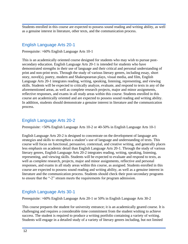Students enrolled in this course are expected to possess sound reading and writing ability, as well as a genuine interest in literature, other texts, and the communication process.

#### <span id="page-11-0"></span>English Language Arts 20-1

Prerequisite: >60% English Language Arts 10-1

This is an academically oriented course designed for students who may wish to pursue postsecondary education. English Language Arts 20-1 is intended for students who have demonstrated strengths in their use of language and their critical and personal understanding of print and non-print texts. Through the study of various literary genres, including essay, short story, novel(s), poetry, modern and Shakespearean plays, visual media, and film, English Language Arts 20-1 integrates reading, writing, speaking, listening, representing, and viewing skills. Students will be expected to critically analyze, evaluate, and respond to texts in any of the aforementioned areas, as well as complete research projects, major and minor assignments, reflective responses, and exams in all study areas within this course. Students enrolled in this course are academically oriented and are expected to possess sound reading and writing ability. In addition, students should demonstrate a genuine interest in literature and the communication process.

### <span id="page-11-1"></span>English Language Arts 20-2

Prerequisite: >50% English Language Arts 10-2 or 40-50% in English Language Arts 10-1

English Language Arts 20-2 is designed to concentrate on the development of language arts strategies and skills to strengthen a student's use of language and understanding of texts. This course will focus on functional, persuasive, contextual, and creative writing, and generally places less emphasis on academic detail than English Language Arts 20-1. Through the study of various literary genres, English Language Arts 20-2 integrates reading, writing, speaking, listening, representing, and viewing skills. Students will be expected to evaluate and respond to texts, as well as complete research, projects, major and minor assignments, reflective and personal responses, and exams in all study areas within this course, as assigned. Students enrolled in this course are expected to possess sound reading and writing ability, as well as a genuine interest in literature and the communication process. Students should check their post-secondary programs to ensure that the "-2" stream meets the requirements for program admission.

#### <span id="page-11-2"></span>English Language Arts 30-1

Prerequisite: >60% English Language Arts 20-1 or 50% in English Language Arts 30-2

This course prepares the student for university entrance; it is an academically geared course. It is challenging and requires a considerable time commitment from the student wishing to achieve success. The student is required to produce a writing portfolio containing a variety of writing. Students will engage in a detailed study of a variety of literary genres including, but not limited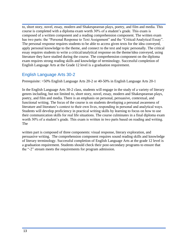to, short story, novel, essay, modern and Shakespearean plays, poetry, and film and media. This course is completed with a diploma exam worth 30% of a student's grade. This exam is composed of a written component and a reading comprehension component. The written exam has two parts: the "Personal Response to Text Assignment" and the "Critical/Analytical Essay". The personal response requires students to be able to access given texts for the idea conveyed, apply personal knowledge to the theme, and connect to the text and topic personally. The critical essay requires students to write a critical/analytical response on the theme/idea conveyed, using literature they have studied during the course. The comprehension component on the diploma exam requires strong reading skills and knowledge of terminology. Successful completion of English Language Arts at the Grade 12 level is a graduation requirement.

#### <span id="page-12-0"></span>English Language Arts 30-2

Prerequisite: >50% English Language Arts 20-2 or 40-50% in English Language Arts 20-1

In the English Language Arts 30-2 class, students will engage in the study of a variety of literary genres including, but not limited to, short story, novel, essay, modern and Shakespearean plays, poetry, and film and media. There is an emphasis on personal, persuasive, contextual, and functional writing. The focus of the course is on students developing a personal awareness of literature and literature's context to their own lives, responding in personal and analytical ways. Students will develop proficiency in practical writing skills by learning to focus on how to use their communication skills for real life situations. The course culminates in a final diploma exam worth 30% of a student's grade. This exam is written in two parts based on reading and writing. The

written part is composed of three components: visual response, literary exploration, and persuasive writing. The comprehension component requires sound reading skills and knowledge of literary terminology. Successful completion of English Language Arts at the grade 12 level is a graduation requirement. Students should check their post-secondary programs to ensure that the "-2" stream meets the requirements for program admission.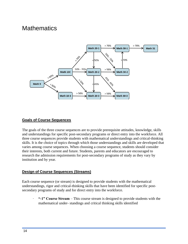# <span id="page-13-0"></span>**Mathematics**



#### <span id="page-13-1"></span>**Goals of Course Sequences**

The goals of the three course sequences are to provide prerequisite attitudes, knowledge, skills and understandings for specific post-secondary programs or direct entry into the workforce. All three course sequences provide students with mathematical understandings and critical-thinking skills. It is the choice of topics through which those understandings and skills are developed that varies among course sequences. When choosing a course sequence, students should consider their interests, both current and future. Students, parents and educators are encouraged to research the admission requirements for post-secondary programs of study as they vary by institution and by year.

#### <span id="page-13-2"></span>**Design of Course Sequences (Streams)**

Each course sequence (or stream) is designed to provide students with the mathematical understandings, rigor and critical-thinking skills that have been identified for specific postsecondary programs of study and for direct entry into the workforce.

· **"-1" Course Stream** – This course stream is designed to provide students with the mathematical under- standings and critical thinking skills identified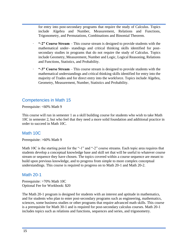for entry into post-secondary programs that require the study of Calculus. Topics include Algebra and Number, Measurement, Relations and Functions, Trigonometry, and Permutations, Combinations and Binomial Theorem.

- · **"-2" Course Stream**  This course stream is designed to provide students with the mathematical under- standings and critical thinking skills identified for postsecondary studies in programs that do not require the study of Calculus. Topics include Geometry, Measurement, Number and Logic, Logical Reasoning, Relations and Functions, Statistics, and Probability.
- · **"-3" Course Stream**  This course stream is designed to provide students with the mathematical understandings and critical thinking skills identified for entry into the majority of Trades and for direct entry into the workforce. Topics include Algebra, Geometry, Measurement, Number, Statistics and Probability.

#### Competencies in Math 15

Prerequisite: <60% Math 9

This course will run in semester 1 as a skill building course for students who wish to take Math 10C in semester 2, but who feel that they need a more solid foundation and additional practice in order to succeed in Math 10C.

#### <span id="page-14-0"></span>Math 10C

Prerequisite: >60% Math 9

Math 10C is the starting point for the "-1" and "-2" course streams. Each topic area requires that students develop a conceptual knowledge base and skill set that will be useful to whatever course stream or sequence they have chosen. The topics covered within a course sequence are meant to build upon previous knowledge, and to progress from simple to more complex conceptual understandings. This course is required to progress on to Math 20-1 and Math 20-2.

#### <span id="page-14-1"></span>Math 20-1

Prerequisite: >70% Math 10C Optional Fee for Workbook: \$20

The Math 20-1 program is designed for students with an interest and aptitude in mathematics, and for students who plan to enter post-secondary programs such as engineering, mathematics, sciences, some business studies or other programs that require advanced math skills. This course is a prerequisite for Math 30-1 and is required for post-secondary calculus courses. Math 20-1 includes topics such as relations and functions, sequences and series, and trigonometry.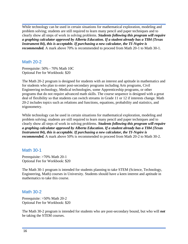While technology can be used in certain situations for mathematical exploration, modeling and problem solving; students are still required to learn many pencil and paper techniques and to clearly show all steps of work in solving problems. *Students following this program will require a graphing calculator approved by Alberta Education. If a student already has a TI84 (Texas Instrument 84), this is acceptable. If purchasing a new calculator, the TI-Nspire is recommended.* A mark above 70% is recommended to proceed from Math 20-1 to Math 30-1.

#### <span id="page-15-0"></span>Math 20-2

Prerequisite: 50% - 70% Math 10C Optional Fee for Workbook: \$20

The Math 20-2 program is designed for students with an interest and aptitude in mathematics and for students who plan to enter post-secondary programs including Arts programs, Civil Engineering technology, Medical technologies, some Apprenticeship programs, or other programs that do not require advanced math skills. The course sequence is designed with a great deal of flexibility so that students can switch streams in Grade 11 or 12 if interests change. Math 20-2 includes topics such as relations and functions, equations, probability and statistics, and trigonometry.

While technology can be used in certain situations for mathematical exploration, modeling and problem solving; students are still required to learn many pencil and paper techniques and to clearly show all steps of work in solving problems. *Students following this program will require a graphing calculator approved by Alberta Education. If a student already has a TI84 (Texas Instrument 84), this is acceptable. If purchasing a new calculator, the TI-Nspire is recommended.* A mark above 50% is recommended to proceed from Math 20-2 to Math 30-2.

#### <span id="page-15-1"></span>Math 30-1

Prerequisite: >70% Math 20-1 Optional Fee for Workbook: \$20

The Math 30-1 program is intended for students planning to take STEM (Science, Technology, Engineering, Math) courses in University. Students should have a keen interest and aptitude in mathematics to take this course.

#### <span id="page-15-2"></span>Math 30-2

Prerequisite: >50% Math 20-2 Optional Fee for Workbook: \$20

The Math 30-2 program is intended for students who are post-secondary bound, but who will *not*  be taking the STEM courses.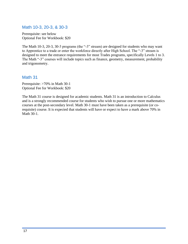#### <span id="page-16-0"></span>Math 10-3, 20-3, & 30-3

Prerequisite: see below Optional Fee for Workbook: \$20

The Math 10-3, 20-3, 30-3 programs (the "-3" stream) are designed for students who may want to Apprentice to a trade or enter the workforce directly after High School. The "-3" stream is designed to meet the entrance requirements for most Trades programs, specifically Levels 1 to 3. The Math "-3" courses will include topics such as finance, geometry, measurement, probability and trigonometry.

#### <span id="page-16-1"></span>Math 31

Prerequisite: >70% in Math 30-1 Optional Fee for Workbook: \$20

The Math 31 course is designed for academic students. Math 31 is an introduction to Calculus and is a strongly recommended course for students who wish to pursue one or more mathematics courses at the post-secondary level. Math 30-1 must have been taken as a prerequisite (or corequisite) course. It is expected that students will have or expect to have a mark above 70% in Math 30-1.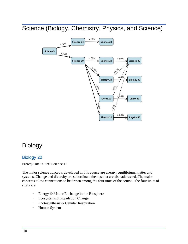<span id="page-17-0"></span>Science (Biology, Chemistry, Physics, and Science)



# <span id="page-17-1"></span>Biology

#### <span id="page-17-2"></span>Biology 20

Prerequisite: >60% Science 10

The major science concepts developed in this course are energy, equilibrium, matter and systems. Change and diversity are subordinate themes that are also addressed. The major concepts allow connections to be drawn among the four units of the course. The four units of study are:

- · Energy & Matter Exchange in the Biosphere
- · Ecosystems & Population Change
- · Photosynthesis & Cellular Respiration
- · Human Systems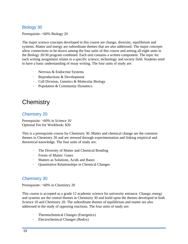#### <span id="page-18-0"></span>Biology 30

Prerequisite: >60% Biology 20

The major science concepts developed in this course are change, diversity, equilibrium and systems. Matter and energy are subordinate themes that are also addressed. The major concepts allow connections to be drawn among the four units of this course and among all eight units in the Biology 20/30 program combined. Each unit contains a written component. The topic for each writing assignment relates to a specific science, technology and society field. Students need to have a basic understanding of essay writing. The four units of study are:

- · Nervous & Endocrine Systems
- · Reproductions & Development
- · Cell Division, Genetics & Molecular Biology
- Population & Community Dynamics

# <span id="page-18-1"></span>**Chemistry**

#### <span id="page-18-2"></span>Chemistry 20

Prerequisite: >60% in Science 10 Optional Fee for Workbook: \$20

This is a prerequisite course for Chemistry 30. Matter and chemical change are the common themes in Chemistry 20 and are stressed through experimentation and linking empirical and theoretical knowledge. The four units of study are:

- · The Diversity of Matter and Chemical Bonding
- · Forms of Matter: Gases
- Matters as Solutions, Acids and Bases
- · Quantitative Relationships in Chemical Changes

#### <span id="page-18-3"></span>Chemistry 30

Prerequisite: >60% in Chemistry 20

This course is accepted as a grade 12 academic science for university entrance. Change, energy and systems are the central themes in Chemistry 30 and build upon the themes developed in both Science 10 and Chemistry 20. The subordinate themes of equilibrium and matter are also addressed in the study of opposing reactions. The four units of study are:

- · Thermochemical Changes (Energetics)
- · Electrochemical Changes (Redox)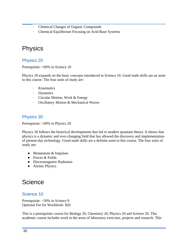- · Chemical Changes of Organic Compounds
- · Chemical Equilibrium Focusing on Acid-Base Systems

## <span id="page-19-0"></span>**Physics**

#### <span id="page-19-1"></span>Physics 20

Prerequisite: >60% in Science 10

Physics 20 expands on the basic concepts introduced in Science 10. Good math skills are an asset to this course. The four units of study are:

- · Kinematics
- · Dynamics
- · Circular Motion, Work & Energy
- · Oscillatory Motion & Mechanical Waves

#### <span id="page-19-2"></span>Physics 30

Prerequisite: >60% in Physics 20

Physics 30 follows the historical developments that led to modern quantum theory. It shows that physics is a dynamic and ever-changing field that has allowed the discovery and implementation of present-day technology. Good math skills are a definite asset to this course. The four units of study are:

- Momentum & Impulses
- $\bullet$  Forces & Fields
- Electromagnetic Radiation
- Atomic Physics

# <span id="page-19-3"></span>**Science**

#### <span id="page-19-4"></span>Science 10

Prerequisite: >50% in Science 9 Optional Fee for Workbook: \$20

This is a prerequisite course for Biology 20, Chemistry 20, Physics 20 and Science 20. This academic course includes work in the areas of laboratory exercises, projects and research. This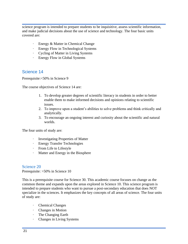science program is intended to prepare students to be inquisitive, assess scientific information, and make judicial decisions about the use of science and technology. The four basic units covered are:

- · Energy & Matter in Chemical Change
- · Energy Flow in Technological Systems
- · Cycling of Matter in Living Systems
- · Energy Flow in Global Systems

#### <span id="page-20-0"></span>Science 14

Prerequisite:<50% in Science 9

The course objectives of Science 14 are:

- 1. To develop greater degrees of scientific literacy in students in order to better enable them to make informed decisions and opinions relating to scientific issues.
- 2. To improve upon a student's abilities to solve problems and think critically and analytically.
- 3. To encourage an ongoing interest and curiosity about the scientific and natural worlds.

The four units of study are:

- · Investigating Properties of Matter
- · Energy Transfer Technologies
- · From Life to Lifestyle
- · Matter and Energy in the Biosphere

#### Science 20

Prerequisite: >50% in Science 10

This is a prerequisite course for Science 30. This academic course focuses on change as the common theme and expands upon the areas explored in Science 10. This science program is intended to prepare students who want to pursue a post-secondary education that does NOT specialize in the sciences. It emphasizes the key concepts of all areas of science. The four units of study are:

- · Chemical Changes
- · Changes in Motion
- · The Changing Earth
- · Changes in Living Systems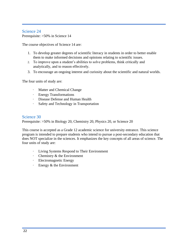#### Science 24

Prerequisite: >50% in Science 14

The course objectives of Science 14 are:

- 1. To develop greater degrees of scientific literacy in students in order to better enable them to make informed decisions and opinions relating to scientific issues.
- 2. To improve upon a student's abilities to solve problems, think critically and analytically, and to reason effectively.
- 3. To encourage an ongoing interest and curiosity about the scientific and natural worlds.

The four units of study are:

- · Matter and Chemical Change
- · Energy Transformations
- · Disease Defense and Human Health
- · Safety and Technology in Transportation

#### Science 30

Prerequisite: >50% in Biology 20, Chemistry 20, Physics 20, or Science 20

This course is accepted as a Grade 12 academic science for university entrance. This science program is intended to prepare students who intend to pursue a post-secondary education that does NOT specialize in the sciences. It emphasizes the key concepts of all areas of science. The four units of study are:

- · Living Systems Respond to Their Environment
- · Chemistry & the Environment
- · Electromagnetic Energy
- · Energy & the Environment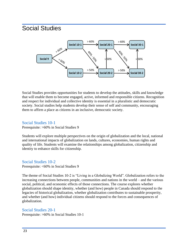# <span id="page-22-0"></span>Social Studies



Social Studies provides opportunities for students to develop the attitudes, skills and knowledge that will enable them to become engaged, active, informed and responsible citizens. Recognition and respect for individual and collective identity is essential in a pluralistic and democratic society. Social studies help students develop their sense of self and community, encouraging them to affirm a place as citizens in an inclusive, democratic society.

#### Social Studies 10-1

Prerequisite: >60% in Social Studies 9

Students will explore multiple perspectives on the origin of globalization and the local, national and international impacts of globalization on lands, cultures, economies, human rights and quality of life. Students will examine the relationships among globalization, citizenship and identity to enhance skills for citizenship.

#### Social Studies 10-2

Prerequisite: <60% in Social Studies 9

The theme of Social Studies 10-2 is "Living in a Globalizing World". Globalization refers to the increasing connections between people, communities and nations in the world – and the various social, political, and economic effects of those connections. The course explores whether globalization should shape identity, whether (and how) people in Canada should respond to the legacies of historical globalization, whether globalization contributes to sustainable prosperity, and whether (and how) individual citizens should respond to the forces and consequences of globalization.

#### Social Studies 20-1

Prerequisite: >60% in Social Studies 10-1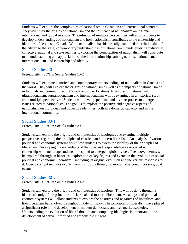Students will explore the complexities of nationalism in Canadian and international contexts. They will study the origins of nationalism and the influence of nationalism on regional, international and global relations. The infusion of multiple perspectives will allow students to develop understandings of nationalism and how nationalism contributes to the citizenship and identities of peoples in Canada. While nationalism has historically examined the relationship of the citizen to the state, contemporary understandings of nationalism include evolving individual, collective, national and state realities. Exploring the complexities of nationalism will contribute to an understanding and appreciation of the interrelationships among nations, nationalism, internationalism, and citizenship and identity.

#### Social Studies 20-2

Prerequisite: >50% in Social Studies 10-2

Students will examine historical and contemporary understandings of nationalism in Canada and the world. They will explore the origins of nationalism as well as the impacts of nationalism on individuals and communities in Canada and other locations. Examples of nationalism, ultranationalism, supranationalism and internationalism will be examined in a historical study from multiple perspectives. Students will develop personal and civic responses to emergent issues related to nationalism. The goal is to explore the positive and negative aspects of nationalism on individual and collective identities, both in a domestic capacity and in the international community.

#### Social Studies 30-1

Prerequisite: >60% in Social Studies 20-1

Students will explore the origins and complexities of ideologies and examine multiple perspectives regarding the principles of classical and modern liberalism. An analysis of various political and economic systems will allow students to assess the viability of the principles of liberalism. Developing understandings of the roles and responsibilities associated with citizenship will encourage students to respond to emergent global issues. The above themes will be explored through an historical exploration of key figures and events in the evolution of social, political and economic liberalism – including its origins, evolution and the various responses to it. Course content includes events from the 1700's through to modern day contemporary global events.

#### Social Studies 30-2

Prerequisite: >50% in Social Studies 20-2

Students will explore the origins and complexities of ideology. This will be done through a historical study of the principles of classical and modern liberalism. An analysis of political and economic systems will allow students to explore the positives and negatives of liberalism, and how liberalism has evolved throughout modern history. The principles of liberalism have played a significant role in the development of modern democratic and free market societies. Understanding the evolution of liberal thought and competing ideologies is important in the development of active, informed and responsible citizens.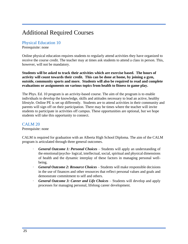# Additional Required Courses

#### Physical Education 10

Prerequisite: none

Online physical education requires students to regularly attend activities they have organized to receive the course credit. The teacher may at times ask students to attend a class in person. This, however, will not be mandatory.

**Students will be asked to track their activities which are exercise based. The hours of activity will count towards their credit. This can be done at home, by joining a gym, outside, community sports and more. Students will also be required to read and complete evaluations or assignments on various topics from health to fitness to game play.**

The Phys. Ed. 10 program is an activity-based course. The aim of the program is to enable individuals to develop the knowledge, skills and attitudes necessary to lead an active, healthy lifestyle. Online PE is set up differently. Students are to attend activities in their community and parents will sign off on their participation. There may be times where the teacher will invite students to participate in activities off campus. These opportunities are optional, but we hope students will take this opportunity to connect.

#### CALM 20

Prerequisite: none

CALM is required for graduation with an Alberta High School Diploma. The aim of the CALM program is articulated through three general outcomes.

- · *General Outcome 1: Personal Choices*  Students will apply an understanding of the emotional/psycho- logical, intellectual, social, spiritual and physical dimensions of health and the dynamic interplay of these factors in managing personal wellbeing.
- · *General Outcome 2: Resource Choices*  Students will make responsible decisions in the use of finances and other resources that reflect personal values and goals and demonstrate commitment to self and others.
- <span id="page-24-0"></span>· *General Outcome 3: Career and Life Choices* – Students will develop and apply processes for managing personal, lifelong career development.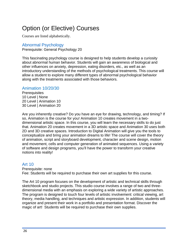# Option (or Elective) Courses

Courses are listed alphabetically.

#### Abnormal Psychology

Prerequisite: General Psychology 20

This fascinating psychology course is designed to help students develop a curiosity about abnormal human behavior. Students will gain an awareness of biological and other influences on anxiety, depression, eating disorders, etc., as well as an introductory understanding of the methods of psychological treatments. This course will allow a student to explore many different types of abnormal psychological behavior along with the treatments associated with those behaviors.

#### Animation 10/20/30

**Prerequisites**  Level | None Level | Animation 10 Level | Animation 20

Are you inherently creative? Do you have an eye for drawing, technology, and timing? If so, Animation is the course for you! Animation 10 creates movement in a twodimensional artistic space. In this course, you will learn the necessary skills to do just that. Animation 20 creates movement in a 3D artistic space and Animation 30 uses both 2D and 3D creative spaces. Introduction to Digital Animation will give you the tools to conceptualize and bring your animation dreams to life! The course will cover the theory of animation, script and storyboard development, character and scene design, motion and movement, cells and computer generation of animated sequences. Using a variety of software and design programs, you'll have the power to transform your creative notions into reality!

#### Art 10

Prerequisite: none

Fee: Students will be required to purchase their own art supplies for this course.

The Art 10 program focuses on the development of artistic and technical skills through sketchbook and studio projects. This studio course involves a range of two and threedimensional media with an emphasis on exploring a wide variety of artistic approaches. The program is designed to touch four levels of artistic involvement: critical viewing, art theory, media handling, and techniques and artistic expression. In addition, students will organize and present their work in a portfolio and presentation format. Discover the magic of art! Students will be required to purchase their own supplies.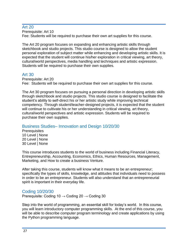#### Art 20

Prerequisite: Art 10 Fee: Students will be required to purchase their own art supplies for this course.

The Art 20 program focuses on expanding and enhancing artistic skills through sketchbook and studio projects. This studio course is designed to allow the student personal exploration of subject matter while enhancing and developing artistic skills. It is expected that the student will continue his/her exploration in critical viewing, art theory, cultural/world perspectives, media handling and techniques and artistic expression. Students will be required to purchase their own supplies.

#### Art 30

Prerequisite: Art 20 Fee: Students will be required to purchase their own art supplies for this course.

The Art 30 program focuses on pursuing a personal direction in developing artistic skills through sketchbook and studio projects. This studio course is designed to facilitate the student's ability to self-direct his or her artistic study while improving technical competency. Through student/teacher-designed projects, it is expected that the student will continue to cultivate his or her understanding in critical viewing, art theory, cultural/world perspectives and artistic expression. Students will be required to purchase their own supplies.

#### Business Studies– Innovation and Design 10/20/30

**Prerequisites**  Level | None Level | None Level | None

This course introduces students to the world of business including Financial Literacy, Entrepreneurship, Accounting, Economics, Ethics, Human Resources, Management, Marketing, and How to create a business Venture.

After taking this course, students will know what it means to be an entrepreneur; specifically the types of skills, knowledge, and attitudes that individuals need to possess in order to be an entrepreneur. Students will also understand that an entrepreneurial spirit is important in their everyday life.

#### Coding 10/20/30

Prerequisite: Coding 10  $\rightarrow$  Coding 20  $\rightarrow$  Coding 30

Step into the world of programming, an essential skill for today's world. In this course, you will learn introductory computer programming skills. At the end of this course, you will be able to describe computer program terminology and create applications by using the Python programming language.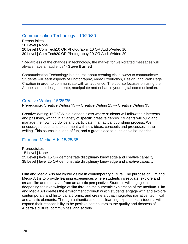#### Communication Technology - 10/20/30

Prerequisites: Level | None Level | Com Tech10 OR Photography 10 OR Audio/Video 10 Level | Com Tech20 OR Photography 20 OR Audio/Video 20

"Regardless of the changes in technology, the market for well-crafted messages will always have an audience" - **Steve Burnett**

Communication Technology is a course about creating visual ways to communicate. Students will learn aspects of Photography, Video Production, Design, and Web Page Creation in order to communicate with an audience. The course focuses on using the Adobe suite to design, create, manipulate and enhance your digital communication.

#### Creative Writing 15/25/35

Prerequisite: Creative Writing 15  $\rightarrow$  Creative Writing 25  $\rightarrow$  Creative Writing 35

Creative Writing 15/25/35 is a blended class where students will follow their interests and passions, writing in a variety of specific creative genres. Students will build and manage their own portfolios and participate in an actual publishing process. We encourage students to experiment with new ideas, concepts and processes in their writing. This course is a load of fun, and a great place to push one's boundaries!

#### Film and Media Arts 15/25/35

Prerequisites: Level | None Level | level 15 OR demonstrate disciplinary knowledge and creative capacity Level | level 25 OR demonstrate disciplinary knowledge and creative capacity

Film and Media Arts are highly visible in contemporary culture. The purpose of Film and Media Art is to provide learning experiences where students investigate, explore and create film and media art from an artistic perspective. Students will engage in deepening their knowledge of film through the authentic exploration of the medium. Film and Media Art creates the environment through which students engage with and explore contemporary and historical art forms, and create art that integrates narrative, technical and artistic elements. Through authentic cinematic learning experiences, students will expand their responsibility to be positive contributors to the quality and richness of Alberta's culture, communities, and society.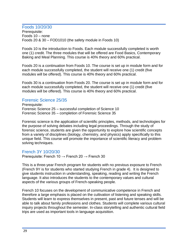#### Foods 10/20/30

Prerequisite: Foods 10 – none Foods 20 & 30 – FOD1010 (the safety module in Foods 10)

Foods 10 is the introduction to Foods. Each module successfully completed is worth one (1) credit. The three modules that will be offered are Food Basics, Contemporary Baking and Meal Planning. This course is 40% theory and 60% practical.

Foods 20 is a continuation from Foods 10. The course is set up in module form and for each module successfully completed, the student will receive one (1) credit (five modules will be offered). This course is 40% theory and 60% practical.

Foods 30 is a continuation from Foods 20. The course is set up in module form and for each module successfully completed, the student will receive one (1) credit (five modules will be offered). This course is 40% theory and 60% practical.

#### Forensic Science 25/35

Prerequisite: Forensic Science 25 – successful completion of Science 10 Forensic Science 35 – completion of Forensic Science 35

Forensic science is the application of scientific principles, methods, and technologies for the purpose of solving debates including legal proceedings. Through the study of forensic science, students are given the opportunity to explore how scientific concepts from a variety of disciplines (biology, chemistry, and physics) apply specifically to this unique field. This course will promote the importance of scientific literacy and problem solving techniques.

#### French 3Y 10/20/30

Prerequisite: French 10  $\rightarrow$  French 20  $\rightarrow$  French 30

This is a three-year French program for students with no previous exposure to French (French 9Y is for students who started studying French in grade 4). It is designed to give students instruction in understanding, speaking, reading and writing the French language. It also introduces the students to the contemporary values and cultural aspects of the various groups of French-speaking people.

French 10 focuses on the development of communicative competence in French and therefore a large emphasis is placed on the cultivation of listening and speaking skills. Students will learn to express themselves in present, past and future tenses and will be able to talk about family professions and clothes. Students will complete various cultural inquiry projects throughout the semester. In-class storytelling and authentic cultural field trips are used as important tools in language acquisition.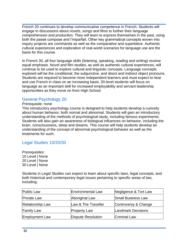French 20 continues to develop communicative competence in French. Students will engage in discussions about novels, songs and films to further their language comprehension and production. They will learn to express themselves in the past, using both the passé compose and l'imparfait. Other key grammatical concepts woven into inquiry projects are commands as well as the comparative and superlative. Authentic cultural experiences and exploration of real-world scenarios for language use are the basis for this course.

In French 30, all four language skills (listening, speaking, reading and writing) receive equal emphasis. Novel and film studies, as well as authentic cultural experiences, will continue to be used to explore cultural and linguistic concepts. Language concepts explored will be the conditional, the subjunctive, and direct and indirect object pronouns. Students are required to become more independent learners and must expect to hear and use French in class on an increasing basis. 30-level students will focus on language as an important skill for increased employability and servant leadership opportunities as they move on from High School.

#### General Psychology 20

#### Prerequisite: none

This introductory psychology course is designed to help students develop a curiosity about human behavior, both normal and abnormal. Students will gain an introductory understanding of the methods of psychological study, including famous experiments. Students will also gain an awareness of biological influences on behavior, including the brain, consciousness, sleep and dreams. This course will help students develop an understanding of the concept of abnormal psychological behavior as well as the treatments for such.

#### Legal Studies 10/20/30

Prerequisites: Level | None Level | None Level | None

Students in Legal Studies can expect to learn about specific laws, legal concepts, and both historical and contemporary legal issues pertaining to specific areas of law, including:

| <b>Public Law</b>  | Environmental Law   | Negligence & Tort Law     |
|--------------------|---------------------|---------------------------|
| <b>Private Law</b> | Aboriginal Law      | <b>Small Business Law</b> |
| Relationship Law   | Law & The Traveller | Controversy & Change      |
| <b>Family Law</b>  | <b>Property Law</b> | <b>Landmark Decisions</b> |
| Employment Law     | Dispute Resolution  | <b>Criminal Law</b>       |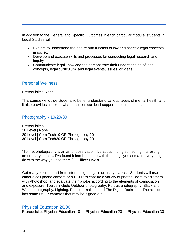In addition to the General and Specific Outcomes in each particular module, students in Legal Studies will:

- Explore to understand the nature and function of law and specific legal concepts in society
- Develop and execute skills and processes for conducting legal research and inquiry
- Communicate legal knowledge to demonstrate their understanding of legal concepts, legal curriculum, and legal events, issues, or ideas

#### Personal Wellness

Prerequisite: None

This course will guide students to better understand various facets of mental health, and it also provides a look at what practices can best support one's mental health.

#### Photography - 10/20/30

**Prerequisites**  Level | None Level | Com Tech10 OR Photography 10 Level | Com Tech20 OR Photography 20

"To me, photography is an art of observation. It's about finding something interesting in an ordinary place… I've found it has little to do with the things you see and everything to do with the way you see them."— **Elliott Erwitt**

Get ready to create art from interesting things in ordinary places. Students will use either a cell phone camera or a DSLR to capture a variety of photos, learn to edit them with Photoshop, and evaluate their photos according to the elements of composition and exposure. Topics include Outdoor photography, Portrait photography, Black and White photography, Lighting, Photojournalism, and The Digital Darkroom. The school has some DSLR cameras that may be signed out.

#### Physical Education 20/30

Prerequisite: Physical Education 10  $\rightarrow$  Physical Education 20  $\rightarrow$  Physical Education 30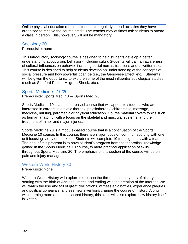Online physical education requires students to regularly attend activities they have organized to receive the course credit. The teacher may at times ask students to attend a class in person. This, however, will not be mandatory.

#### Sociology 20

Prerequisite: none

This introductory sociology course is designed to help students develop a better understanding about group behavior (including cults). Students will gain an awareness of cultural influences on behavior including social norms, traditions and unwritten rules. This course is designed to help students develop an understanding of the concepts of social pressure and how powerful it can be (i.e., the Genovese Effect, etc.). Students will be given the opportunity to explore some of the most influential sociological studies (such as Stanford Prison, Milgram Shock, etc.).

#### Sports Medicine - 10/20

Prerequisite: Sports Med. 10  $\rightarrow$  Sports Med. 20

Sports Medicine 10 is a module-based course that will appeal to students who are interested in careers in athletic therapy, physiotherapy, chiropractic, massage, medicine, nursing, paramedic or physical education. Course material covers topics such as human anatomy, with a focus on the skeletal and muscular systems, and the treatment of minor and major injuries.

Sports Medicine 20 is a module-based course that is a continuation of the Sports Medicine 10 course. In this course, there is a major focus on common sporting with one unit focusing solely on the knee. Students will complete 10 training hours with a team. The goal of this program is to have student's progress from the theoretical knowledge gained in the Sports Medicine 10 course, to more practical application of skills throughout Sports Medicine 20. The emphasis of this section of the course will be on pain and injury management.

#### Western World History 30

Prerequisite: None

Western World History will explore more than the three thousand years of history, starting with the birth of Ancient Greece and ending with the creation of the Internet. We will watch the rise and fall of great civilizations, witness epic battles, experience plagues and political upheavals, and see new inventions change the course of history. Along with learning more about our shared history, this class will also explore how history itself is written.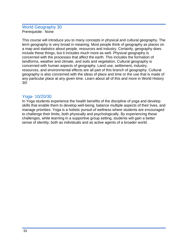#### World Geography 30 Prerequisite: None

This course will introduce you to many concepts in physical and cultural geography. The term geography is very broad in meaning. Most people think of geography as places on a map and statistics about people, resources and industry. Certainly, geography does include these things, but it includes much more as well. Physical geography is concerned with the processes that affect the earth. This includes the formation of landforms, weather and climate, and soils and vegetation. Cultural geography is concerned with human aspects of geography. Land use, settlement, industry, resources, and environmental effects are all part of this branch of geography. Cultural geography is also concerned with the ideas of place and time or the use that is made of any particular place at any given time. Learn about all of this and more in World History 30!

#### Yoga- 10/20/30

In Yoga students experience the health benefits of the discipline of yoga and develop skills that enable them to develop well-being, balance multiple aspects of their lives, and manage priorities. Yoga is a holistic pursuit of wellness where students are encouraged to challenge their limits, both physically and psychologically. By experiencing these challenges, while learning in a supportive group setting, students will gain a better sense of identity, both as individuals and as active agents of a broader world.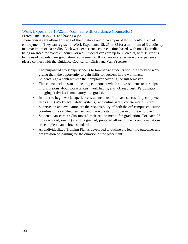#### Work Experience 15/25/35 (connect with Guidance Counsellor)

Prerequisite: HCS3000 and having a job

These courses are offered outside of the timetable and off-campus at the student's place of employment. They can register in Work Experience 15, 25 or 35 for a minimum of 3 credits up to a maximum of 10 credits. Each work experience course is time based, with one (1) credit being awarded for every 25 hours worked. Students can earn up to 30 credits, with 15 credits being used towards their graduation requirements. If you are interested in work experience, please connect with the Guidance Counsellor, Christiana Van Ysselsteyn.

- The purpose of work experience is to familiarize students with the world of work, giving them the opportunity to gain skills for success in the workplace.
- Students sign a contract with their employer covering the full semester.
- This course includes an online blog component which allows students to participate in discussions about workstations, work habits, and job readiness. Participation in blogging activities is mandatory and graded.
- In order to begin work experience, students must first have successfully completed HCS3000 (Workplace Safety Systems), and online safety course worth 1 credit.
- · Supervision and evaluation are the responsibility of both the off-campus education coordinator (a certified teacher) and the workstation supervisor (the employer).
- · Students can earn credits toward their requirements for graduation. For each 25 hours worked, one (1) credit is granted, provided all assignments and evaluations are completed and above standard.
- An Individualized Training Plan is developed to outline the learning outcomes and progression of learning for the duration of the placement.